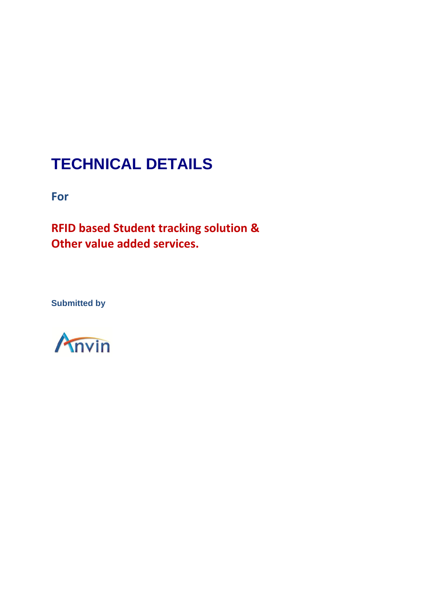# **TECHNICAL DETAILS**

**For**

**RFID based Student tracking solution & Other value added services.**

**Submitted by**

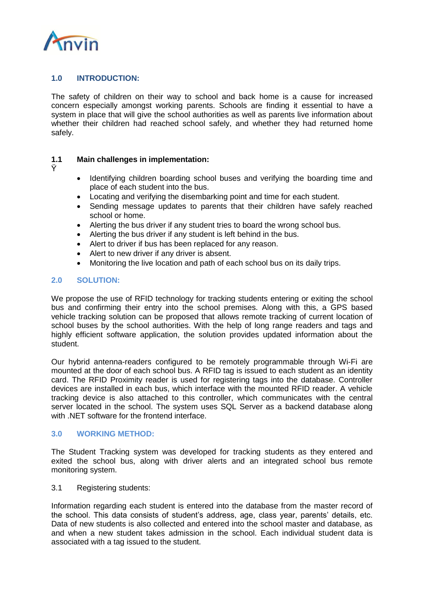

## **1.0 INTRODUCTION:**

The safety of children on their way to school and back home is a cause for increased concern especially amongst working parents. Schools are finding it essential to have a system in place that will give the school authorities as well as parents live information about whether their children had reached school safely, and whether they had returned home safely.

## **1.1 Main challenges in implementation:**

- Ÿ
- Identifying children boarding school buses and verifying the boarding time and place of each student into the bus.
- Locating and verifying the disembarking point and time for each student.
- Sending message updates to parents that their children have safely reached school or home.
- Alerting the bus driver if any student tries to board the wrong school bus.
- Alerting the bus driver if any student is left behind in the bus.
- Alert to driver if bus has been replaced for any reason.
- Alert to new driver if any driver is absent.
- Monitoring the live location and path of each school bus on its daily trips.

## **2.0 SOLUTION:**

We propose the use of RFID technology for tracking students entering or exiting the school bus and confirming their entry into the school premises. Along with this, a GPS based vehicle tracking solution can be proposed that allows remote tracking of current location of school buses by the school authorities. With the help of long range readers and tags and highly efficient software application, the solution provides updated information about the student.

Our hybrid antenna-readers configured to be remotely programmable through Wi-Fi are mounted at the door of each school bus. A RFID tag is issued to each student as an identity card. The RFID Proximity reader is used for registering tags into the database. Controller devices are installed in each bus, which interface with the mounted RFID reader. A vehicle tracking device is also attached to this controller, which communicates with the central server located in the school. The system uses SQL Server as a backend database along with .NET software for the frontend interface.

#### **3.0 WORKING METHOD:**

The Student Tracking system was developed for tracking students as they entered and exited the school bus, along with driver alerts and an integrated school bus remote monitoring system.

#### 3.1 Registering students:

Information regarding each student is entered into the database from the master record of the school. This data consists of student's address, age, class year, parents' details, etc. Data of new students is also collected and entered into the school master and database, as and when a new student takes admission in the school. Each individual student data is associated with a tag issued to the student.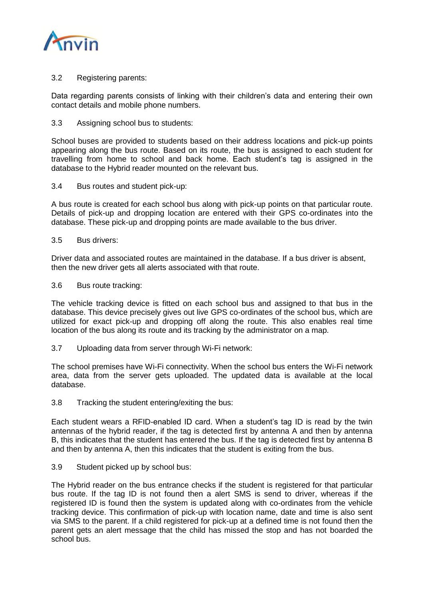

3.2 Registering parents:

Data regarding parents consists of linking with their children's data and entering their own contact details and mobile phone numbers.

3.3 Assigning school bus to students:

School buses are provided to students based on their address locations and pick-up points appearing along the bus route. Based on its route, the bus is assigned to each student for travelling from home to school and back home. Each student's tag is assigned in the database to the Hybrid reader mounted on the relevant bus.

3.4 Bus routes and student pick-up:

A bus route is created for each school bus along with pick-up points on that particular route. Details of pick-up and dropping location are entered with their GPS co-ordinates into the database. These pick-up and dropping points are made available to the bus driver.

3.5 Bus drivers:

Driver data and associated routes are maintained in the database. If a bus driver is absent, then the new driver gets all alerts associated with that route.

3.6 Bus route tracking:

The vehicle tracking device is fitted on each school bus and assigned to that bus in the database. This device precisely gives out live GPS co-ordinates of the school bus, which are utilized for exact pick-up and dropping off along the route. This also enables real time location of the bus along its route and its tracking by the administrator on a map.

3.7 Uploading data from server through Wi-Fi network:

The school premises have Wi-Fi connectivity. When the school bus enters the Wi-Fi network area, data from the server gets uploaded. The updated data is available at the local database.

3.8 Tracking the student entering/exiting the bus:

Each student wears a RFID-enabled ID card. When a student's tag ID is read by the twin antennas of the hybrid reader, if the tag is detected first by antenna A and then by antenna B, this indicates that the student has entered the bus. If the tag is detected first by antenna B and then by antenna A, then this indicates that the student is exiting from the bus.

3.9 Student picked up by school bus:

The Hybrid reader on the bus entrance checks if the student is registered for that particular bus route. If the tag ID is not found then a alert SMS is send to driver, whereas if the registered ID is found then the system is updated along with co-ordinates from the vehicle tracking device. This confirmation of pick-up with location name, date and time is also sent via SMS to the parent. If a child registered for pick-up at a defined time is not found then the parent gets an alert message that the child has missed the stop and has not boarded the school bus.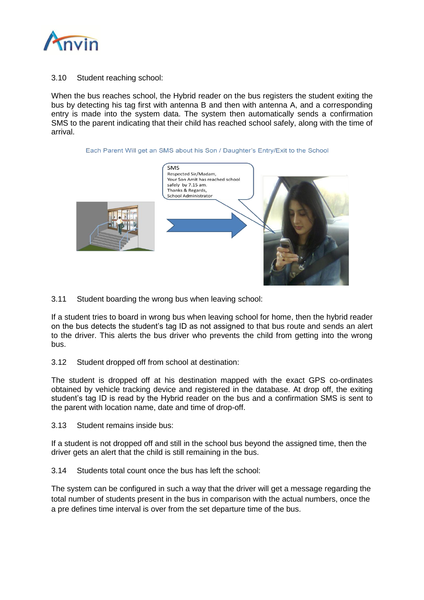

## 3.10 Student reaching school:

When the bus reaches school, the Hybrid reader on the bus registers the student exiting the bus by detecting his tag first with antenna B and then with antenna A, and a corresponding entry is made into the system data. The system then automatically sends a confirmation SMS to the parent indicating that their child has reached school safely, along with the time of arrival.





3.11 Student boarding the wrong bus when leaving school:

If a student tries to board in wrong bus when leaving school for home, then the hybrid reader on the bus detects the student's tag ID as not assigned to that bus route and sends an alert to the driver. This alerts the bus driver who prevents the child from getting into the wrong bus.

#### 3.12 Student dropped off from school at destination:

The student is dropped off at his destination mapped with the exact GPS co-ordinates obtained by vehicle tracking device and registered in the database. At drop off, the exiting student's tag ID is read by the Hybrid reader on the bus and a confirmation SMS is sent to the parent with location name, date and time of drop-off.

3.13 Student remains inside bus:

If a student is not dropped off and still in the school bus beyond the assigned time, then the driver gets an alert that the child is still remaining in the bus.

3.14 Students total count once the bus has left the school:

The system can be configured in such a way that the driver will get a message regarding the total number of students present in the bus in comparison with the actual numbers, once the a pre defines time interval is over from the set departure time of the bus.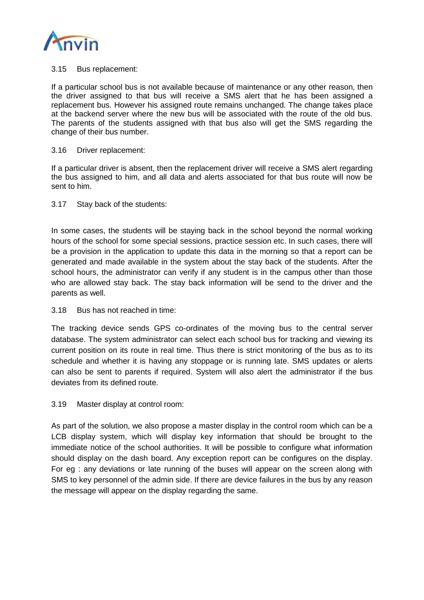

## 3.15 Bus replacement:

If a particular school bus is not available because of maintenance or any other reason, then the driver assigned to that bus will receive a SMS alert that he has been assigned a replacement bus. However his assigned route remains unchanged. The change takes place at the backend server where the new bus will be associated with the route of the old bus. The parents of the students assigned with that bus also will get the SMS regarding the change of their bus number.

#### 3.16 Driver replacement:

If a particular driver is absent, then the replacement driver will receive a SMS alert regarding the bus assigned to him, and all data and alerts associated for that bus route will now be sent to him.

## 3.17 Stay back of the students:

In some cases, the students will be staying back in the school beyond the normal working hours of the school for some special sessions, practice session etc. In such cases, there will be a provision in the application to update this data in the morning so that a report can be generated and made available in the system about the stay back of the students. After the school hours, the administrator can verify if any student is in the campus other than those who are allowed stay back. The stay back information will be send to the driver and the parents as well.

## 3.18 Bus has not reached in time:

The tracking device sends GPS co-ordinates of the moving bus to the central server database. The system administrator can select each school bus for tracking and viewing its current position on its route in real time. Thus there is strict monitoring of the bus as to its schedule and whether it is having any stoppage or is running late. SMS updates or alerts can also be sent to parents if required. System will also alert the administrator if the bus deviates from its defined route.

## 3.19 Master display at control room:

As part of the solution, we also propose a master display in the control room which can be a LCB display system, which will display key information that should be brought to the immediate notice of the school authorities. It will be possible to configure what information should display on the dash board. Any exception report can be configures on the display. For eg : any deviations or late running of the buses will appear on the screen along with SMS to key personnel of the admin side. If there are device failures in the bus by any reason the message will appear on the display regarding the same.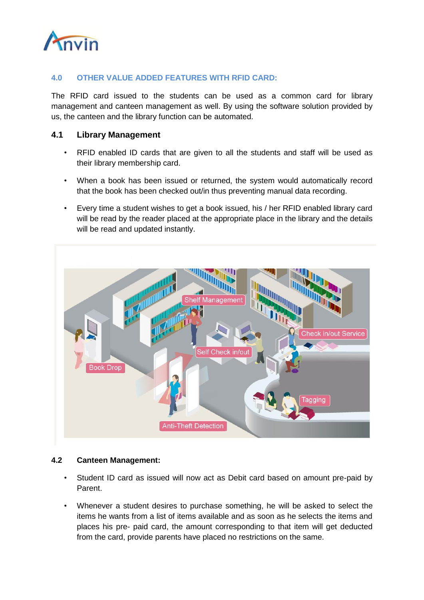

# **4.0 OTHER VALUE ADDED FEATURES WITH RFID CARD:**

The RFID card issued to the students can be used as a common card for library management and canteen management as well. By using the software solution provided by us, the canteen and the library function can be automated.

## **4.1 Library Management**

- RFID enabled ID cards that are given to all the students and staff will be used as their library membership card.
- When a book has been issued or returned, the system would automatically record that the book has been checked out/in thus preventing manual data recording.
- Every time a student wishes to get a book issued, his / her RFID enabled library card will be read by the reader placed at the appropriate place in the library and the details will be read and updated instantly.



## **4.2 Canteen Management:**

- Student ID card as issued will now act as Debit card based on amount pre-paid by Parent.
- Whenever a student desires to purchase something, he will be asked to select the items he wants from a list of items available and as soon as he selects the items and places his pre- paid card, the amount corresponding to that item will get deducted from the card, provide parents have placed no restrictions on the same.